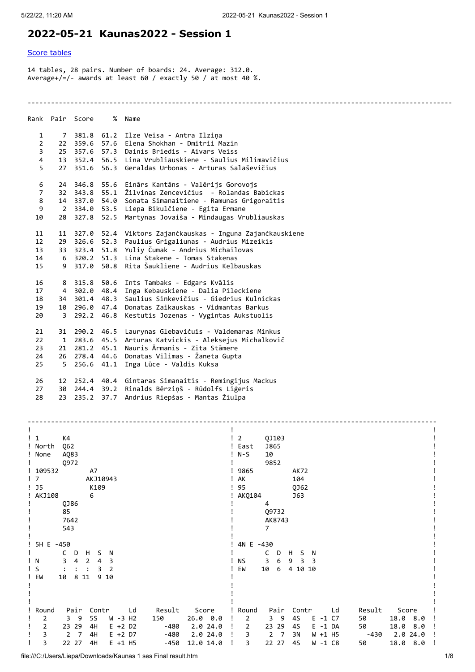## **2022-05-21 Kaunas2022 - Session 1**

## [Score tables](#page-0-0)

14 tables, 28 pairs. Number of boards: 24. Average: 312.0. Average+/=/- awards at least 60 / exactly 50 / at most 40 %.

-------------------------------------------------------------------------------------------------------------

|                 |              | Rank Pair Score | %    | Name                                                     |
|-----------------|--------------|-----------------|------|----------------------------------------------------------|
| $\mathbf{1}$    |              | 7 381.8 61.2    |      | Ilze Veisa - Antra Ilzina                                |
| $\overline{2}$  | 22           | 359.6 57.6      |      | Elena Shokhan - Dmitrii Mazin                            |
| 3               |              | 25 357.6 57.3   |      | Dainis Briedis - Aivars Veiss                            |
| 4               |              |                 |      | 13 352.4 56.5 Lina Vrubliauskiene - Saulius Milimavičius |
| 5               | 27           | 351.6           | 56.3 | Geraldas Urbonas - Arturas Salaševičius                  |
| 6               | 24           | 346.8           | 55.6 | Einārs Kantāns - Valērijs Gorovojs                       |
| $\overline{7}$  | 32           | 343.8           | 55.1 | Žilvinas Zencevičius  - Rolandas Babickas                |
| 8               |              | 14 337.0        | 54.0 | Sonata Simanaitiene - Ramunas Grigoraitis                |
| 9               |              |                 |      | 2 334.0 53.5 Liepa Bikulčiene - Egita Ermane             |
| 10              |              | 28 327.8        | 52.5 | Martynas Jovaiša - Mindaugas Vrubliauskas                |
| 11              | 11           | 327.0           | 52.4 | Viktors Zajančkauskas - Inguna Zajančkauskiene           |
| 12 <sup>2</sup> | 29           | 326.6           | 52.3 | Paulius Grigaliunas - Audrius Mizeikis                   |
| 13 <sup>7</sup> |              | 33 323.4        | 51.8 | Yuliy Čumak - Andrius Michailovas                        |
| 14              |              | 6 320.2 51.3    |      | Lina Stakene - Tomas Stakenas                            |
| 15              |              | 9 317.0         | 50.8 | Rita Šaukliene - Audrius Kelbauskas                      |
| 16              | 8            | 315.8           | 50.6 | Ints Tambaks - Edgars Kvālis                             |
| 17              |              | 4 302.0 48.4    |      | Inga Kebauskiene - Dalia Pileckiene                      |
| 18              | 34           | 301.4 48.3      |      | Saulius Sinkevičius - Giedrius Kulnickas                 |
| 19              |              | 10 296.0 47.4   |      | Donatas Zaikauskas - Vidmantas Barkus                    |
| 20              | 3            | 292.2 46.8      |      | Kestutis Jozenas - Vygintas Aukstuolis                   |
| 21              | 31           | 290.2           | 46.5 | Laurynas Glebavičuis - Valdemaras Minkus                 |
| 22              | $\mathbf{1}$ | 283.6 45.5      |      | Arturas Katvickis - Aleksejus Michalkovič                |
| 23              | 21           | 281.2 45.1      |      | Nauris Ārmanis - Zita Stāmere                            |
| 24              | 26           | 278.4 44.6      |      | Donatas Vilimas - Žaneta Gupta                           |
| 25              | $5 -$        | 256.6 41.1      |      | Inga Lūce - Valdis Kuksa                                 |
| 26              |              | 12 252.4 40.4   |      | Gintaras Simanaitis - Remingijus Mackus                  |
| 27              | 30           | 244.4 39.2      |      | Rinalds Bērziņš - Rūdolfs Liģeris                        |
| 28              | 23           | 235.2           | 37.7 | Andrius Riepšas - Mantas Žiulpa                          |

<span id="page-0-0"></span>

| K4<br>$\frac{1}{2}$                                                          | $\overline{2}$<br>QJ103                                                   |
|------------------------------------------------------------------------------|---------------------------------------------------------------------------|
| ! North<br>Q62                                                               | ! East<br><b>J865</b>                                                     |
| AQ83<br>! None                                                               | 10<br>$N-S$                                                               |
| Q972                                                                         | 9852                                                                      |
| ! 109532<br>A7                                                               | 9865<br>AK72                                                              |
| $\overline{7}$<br>AKJ10943                                                   | AK<br>104                                                                 |
| $!$ J5<br>K109                                                               | 95<br>QJ62                                                                |
| ! AKJ108<br>6                                                                | AKQ104<br>J63                                                             |
| QJ86                                                                         | 4                                                                         |
| 85                                                                           | 09732                                                                     |
| 7642                                                                         | AK8743                                                                    |
| 543                                                                          | $\overline{7}$                                                            |
|                                                                              |                                                                           |
| 5H E -450                                                                    | 4N E -430                                                                 |
| D<br>н<br>S<br>C<br>N                                                        | C<br>H<br>S<br>N<br>D                                                     |
| ! N<br>2<br>3<br>4<br>3<br>4                                                 | <b>NS</b><br>3<br>6<br>9<br>3<br>3                                        |
| $\mathsf{S}$<br>2                                                            | EW<br>10<br>4 10 10<br>6                                                  |
| ! EW<br>8 1 1<br>9<br>10<br>10                                               |                                                                           |
|                                                                              |                                                                           |
|                                                                              |                                                                           |
|                                                                              |                                                                           |
| Round<br>Pair<br>Contr                                                       |                                                                           |
| Result Score<br>Ld<br>- 9<br>3                                               | Round<br>Pair Contr<br>Score<br>Result<br>Ld<br>50                        |
| <b>5S</b><br>W -3 H2<br>150<br>$26.0\quad 0.0$<br>2                          | 4S<br>3 <sub>9</sub><br>18.0<br>2<br>$E - 1 C7$<br>8.0                    |
| $\overline{2}$<br>23 29<br>$E + 2 D2$<br>2.024.0<br>4H<br>-480               | 23 29<br>18.0<br>8.0<br>$\overline{2}$<br>50<br>4S<br>$E - 1 DA$          |
| 3<br>$\overline{2}$<br>4H<br>-480<br>2.024.0<br>$\overline{7}$<br>$E + 2 D7$ | $\overline{2}$<br>2.024.0<br>3<br>$\overline{7}$<br>3N<br>W +1 H5<br>-430 |
| 3<br>22 27<br>4H<br>12.0 14.0<br>$E + 1$ H5<br>-450                          | 3<br>22 27<br>18.0 8.0<br>4S<br>50<br>W -1 C8                             |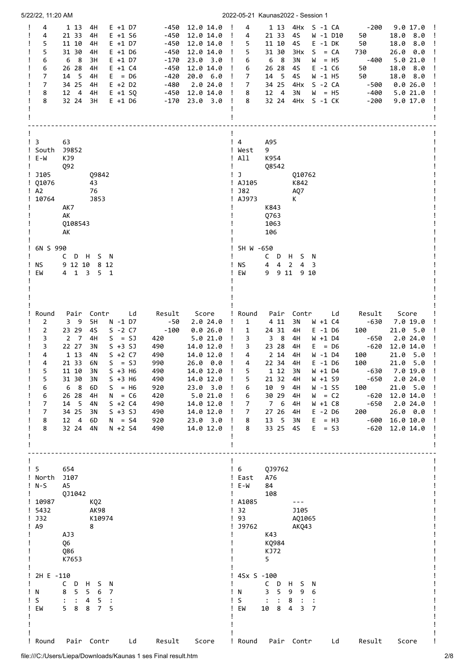| 5/22/22, 11:20 AM                                                                                                                                                                                                                                                                                                                                                                                                                                                                                                                                                            |                                                                                                                                                                                                                                                                                                                                                                                                                                                                           | 2022-05-21 Kaunas2022 - Session 1                                                                                                                                                                                                                                                                                                                                                                                                                                                                                                                                                                                                                                                                                                                                                                                                                     |
|------------------------------------------------------------------------------------------------------------------------------------------------------------------------------------------------------------------------------------------------------------------------------------------------------------------------------------------------------------------------------------------------------------------------------------------------------------------------------------------------------------------------------------------------------------------------------|---------------------------------------------------------------------------------------------------------------------------------------------------------------------------------------------------------------------------------------------------------------------------------------------------------------------------------------------------------------------------------------------------------------------------------------------------------------------------|-------------------------------------------------------------------------------------------------------------------------------------------------------------------------------------------------------------------------------------------------------------------------------------------------------------------------------------------------------------------------------------------------------------------------------------------------------------------------------------------------------------------------------------------------------------------------------------------------------------------------------------------------------------------------------------------------------------------------------------------------------------------------------------------------------------------------------------------------------|
| 4<br>$E + 1 D7$<br>Ţ<br>1 13 4H<br>21 33<br>4H<br>$E + 1 S6$<br>4<br>5<br>11 10<br>4H<br>$E + 1 D7$<br>5<br>$E + 1$ D6<br>31 30<br>4H<br>6 8<br>$E + 1 D7$<br>6<br>3H<br>26 28<br>$E + 1 C4$<br>6<br>4H<br>7<br>14 5<br>4H<br>$E = D6$<br>7<br>34 25<br>$E + 2 D2$<br>4H<br>8<br>12 4<br>$E + 1$ SQ<br>4H<br>8<br>32 24<br>3H<br>$E + 1$ D6                                                                                                                                                                                                                                  | $-450$ 12.0 14.0 !<br>-450<br>12.0 14.0<br>$\mathbf{I}$<br>-450<br>12.0 14.0<br>$\mathbf{I}$<br>-450<br>12.0 14.0<br>$\mathbf{I}$<br>23.0 3.0<br>-170<br>$\mathbf{I}$<br>$-450$<br>12.0 14.0<br>$\mathbf{I}$<br>-420<br>20.0 6.0<br>$\mathbf{I}$<br>-480<br>2.024.0<br>$\mathbf{I}$<br>$-450$ 12.0 14.0<br>$\mathbf{I}$<br>$-170$ 23.0 3.0<br>$\mathbf{I}$                                                                                                                | 4<br>1 13 4Hx S -1 CA<br>- 200<br>9.0 17.0 !<br>4<br>21 33<br>4S<br>W -1 D10<br>50<br>18.0 8.0<br>$\mathbf{I}$<br>11 10<br>4S<br>$E - 1 DK$<br>50<br>18.0<br>5<br>8.0<br>5<br>31 30<br>3Hx<br>$S = CA$<br>730<br>26.0<br>0.0<br>6 8<br>5.021.0<br>6<br>3N<br>$W = H5$<br>-400<br>26 28<br>18.0<br>8.0<br>4S<br>$E - 1$ C6<br>50<br>6<br>45<br>18.0 8.0<br>14 5<br>$W - 1$ H5<br>50<br>7<br>$\overline{7}$<br>34 25<br>$S - 2 CA$<br>0.026.0<br>4Hx<br>-500<br>12 4<br>3N<br>-400<br>8<br>$W = H5$<br>5.021.0<br>8<br>32 24<br>4Hx S -1 CK<br>-200<br>9.017.0                                                                                                                                                                                                                                                                                          |
| $\frac{1}{3}$<br>63<br>! South<br>J9852<br>! E-W<br>KJ9<br>Q92<br>! J105<br>Q9842<br>$!$ 01076<br>43<br>$\frac{1}{2}$ A2<br>76<br>10764<br><b>J853</b><br>AK7<br>AK<br>0108543<br>AK                                                                                                                                                                                                                                                                                                                                                                                         |                                                                                                                                                                                                                                                                                                                                                                                                                                                                           | $\frac{1}{4}$<br>A95<br>! West<br>9<br>! All<br>K954<br>Ţ<br><b>Q8542</b><br>$\mathsf{I}$ J<br>010762<br>! AJ105<br>K842<br>$!$ J82<br>AQ7<br>! AJ973<br>К<br>K843<br>Q763<br>1063<br>106                                                                                                                                                                                                                                                                                                                                                                                                                                                                                                                                                                                                                                                             |
| 6N S 990<br>CDHSN<br>9 12 10 8 12<br>ΝS<br>EW<br>$4 \quad 1$<br>$\overline{\mathbf{3}}$<br>5 1                                                                                                                                                                                                                                                                                                                                                                                                                                                                               |                                                                                                                                                                                                                                                                                                                                                                                                                                                                           | 5H W -650<br>C D H S N<br>$4$ $4$ $2$<br>ΝS<br>4<br>3<br>EW<br>9 9 11<br>9 10                                                                                                                                                                                                                                                                                                                                                                                                                                                                                                                                                                                                                                                                                                                                                                         |
| Round<br>Pair<br>Contr<br>Ld<br>$\overline{2}$<br>3 <sup>9</sup><br>5H<br>N -1 D7<br>23 29<br>$S - 2 C7$<br>$\overline{2}$<br>45<br>3<br>$2 \overline{7}$<br>$S = SJ$<br>4H<br>22 27<br>$S + 3 SJ$<br>3<br>3N<br>1 13<br>4N<br>$S + 2 C7$<br>4<br>4<br>$S = SJ$<br>21 33<br>6N<br>5<br>11 10<br>$S + 3$ H6<br>3N<br>5<br>31 30<br>$S + 3$ H6<br>3N<br>6 <sub>8</sub><br>6<br>6D<br>$S = H6$<br>6<br>26 28<br>4H<br>$N = C6$<br>$\overline{7}$<br>14 5<br>$S + 2 C4$<br>4N<br>34 25<br>$S + 3 SJ$<br>7<br>3N<br>12 4<br>8<br>6D<br>$N = S4$<br>8<br>32 24<br>4N<br>$N + 2 S4$ | Result<br>Score<br>$-50$<br>2.024.0<br>-100<br>0.026.0<br>$\mathbf{I}$<br>5.021.0<br>420<br>$\mathbf{I}$<br>14.0 12.0<br>490<br>$\mathbf{I}$<br>14.0 12.0<br>$\mathbf{I}$<br>490<br>26.0 0.0<br>$\mathbf{I}$<br>990<br>14.0 12.0<br>490<br>$\mathbf{I}$<br>14.0 12.0<br>490<br>920<br>$23.0$ $3.0$<br>Ţ<br>5.0 21.0<br>420<br>$\mathbf{I}$<br>14.0 12.0<br>490<br>$\perp$<br>490<br>14.0 12.0<br>Ţ<br>23.0 3.0<br>920<br>$\mathbf{I}$<br>14.0 12.0<br>490<br>$\mathbf{I}$ | ! Round<br>Pair Contr<br>Result<br>Ld<br>Score<br>$\mathbf{1}$<br>4 1 1<br>3N<br>W +1 C4<br>$-630$<br>7.0 19.0<br>÷<br>24 31<br>4H<br>$E - 1$ D6<br>100<br>21.0 5.0<br>1<br>$3 \quad 8$<br>4H<br>2.024.0<br>3<br>W +1 D4<br>-650<br>23 28<br>3<br>4H<br>$E = D6$<br>-620<br>12.0 14.0<br>2 14<br>4H<br>21.0<br>4<br>W -1 D4<br>100<br>5.0<br>22 34<br>4H<br>5.0<br>4<br>$E - 1$ D6<br>100<br>21.0<br>5<br>1 12<br>W +1 D4<br>7.0 19.0<br>3N<br>-630<br>$\mathbf{I}$<br>21 32<br>W +1 S9<br>$-650$<br>5<br>4H<br>2.024.0<br>Ţ<br>10 9<br>W -1 S5<br>4H<br>100<br>21.0 5.0<br>6<br>6<br>30 29<br>4H<br>$W = C2$<br>-620<br>12.0 14.0<br>$-650$<br>7<br>7 6<br>4H<br>W +1 C8<br>2.024.0<br>27 26<br>4H<br>$E - 2$ D6<br>200<br>$26.0\quad 0.0$<br>7<br>13 5<br>3N<br>8<br>$E = H3$<br>-600<br>16.0 10.0<br>33 25 4S<br>$E = S3$<br>$-620$ 12.0 14.0<br>8 |
| 654<br>! 5<br>! North<br>J107<br>$!$ N-S<br>A5<br>0J1042<br>! 10987<br>KQ2<br>! 5432<br><b>AK98</b><br>! J32<br>K10974<br>$\mathsf{A}9$<br>8<br>AJ3<br>Q6<br>Q86<br>K7653                                                                                                                                                                                                                                                                                                                                                                                                    |                                                                                                                                                                                                                                                                                                                                                                                                                                                                           | QJ9762<br>$\frac{1}{6}$<br>! East<br>A76<br>$! E-W$<br>84<br>108<br>! A1085<br>$- - -$<br>$\frac{1}{2}$ 32<br><b>J105</b><br>$\frac{1}{2}$ 93<br>AQ1065<br>! J9762<br>AKQ43<br>K43<br>KQ984<br>KJ72<br>5                                                                                                                                                                                                                                                                                                                                                                                                                                                                                                                                                                                                                                              |
| 2H E -110<br>C<br>D<br>H<br>S.<br>N<br>5<br>5 <sub>6</sub><br>8<br>N<br>$\overline{7}$<br>S<br>$\ddot{\cdot}$<br>4<br>5<br>$\ddot{\cdot}$<br>58<br>8<br>EW<br>$\overline{7}$<br>5                                                                                                                                                                                                                                                                                                                                                                                            |                                                                                                                                                                                                                                                                                                                                                                                                                                                                           | ! 4Sx S -100<br>$C$ D<br>H S N<br>3 <sub>5</sub><br>99<br>N<br>6<br>S<br>$\ddot{\cdot}$<br>$\ddot{\phantom{a}}$<br>8<br>$\cdot$ :<br>10 8<br>EM<br>4<br>3<br>7                                                                                                                                                                                                                                                                                                                                                                                                                                                                                                                                                                                                                                                                                        |
| Pair Contr<br>Round<br>Ld                                                                                                                                                                                                                                                                                                                                                                                                                                                                                                                                                    | Result<br>Score                                                                                                                                                                                                                                                                                                                                                                                                                                                           | ! Round<br>Pair Contr<br>Ld<br>Result<br>Score                                                                                                                                                                                                                                                                                                                                                                                                                                                                                                                                                                                                                                                                                                                                                                                                        |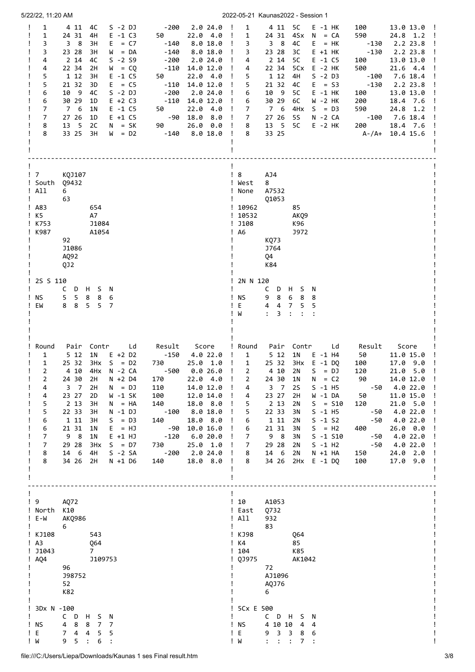| 5/22/22, 11:20 AM                                                                                                                                                                                                                                                                                                                                                                                                                                                                                                                 |                                                                                                                                                                                                                                                                                                                                                                                                                                                                                                                            | 2022-05-21 Kaunas2022 - Session 1                                                                                                                                                                                                                                                                                                                                                                                                                                                                                                                                                                                                                                                                                                                                                                                                                                                                                  |
|-----------------------------------------------------------------------------------------------------------------------------------------------------------------------------------------------------------------------------------------------------------------------------------------------------------------------------------------------------------------------------------------------------------------------------------------------------------------------------------------------------------------------------------|----------------------------------------------------------------------------------------------------------------------------------------------------------------------------------------------------------------------------------------------------------------------------------------------------------------------------------------------------------------------------------------------------------------------------------------------------------------------------------------------------------------------------|--------------------------------------------------------------------------------------------------------------------------------------------------------------------------------------------------------------------------------------------------------------------------------------------------------------------------------------------------------------------------------------------------------------------------------------------------------------------------------------------------------------------------------------------------------------------------------------------------------------------------------------------------------------------------------------------------------------------------------------------------------------------------------------------------------------------------------------------------------------------------------------------------------------------|
| $\mathbf{1}$<br>$S - 2 DJ$<br>4 11 4C<br>$E - 1 C3$<br>1<br>24 31<br>4H<br>3<br>3 8<br>3H<br>$E = C7$<br>3<br>23 28<br>$W = DA$<br>зн<br>$S - 2 S9$<br>4<br>2 14<br>4C<br>22 34<br>4<br>2H<br>$W = CQ$<br>5<br>1 12<br>3H<br>$E - 1 C5$<br>5<br>21 32<br>3D<br>$E = C5$<br>$S - 2 DJ$<br>10<br>- 9<br>4C<br>6<br>30 29<br>$E + 2 C3$<br>6<br>1D<br>7<br>7 6<br>1N<br>$E - 1 C5$<br>$\overline{7}$<br>27 26<br>$E + 1 C5$<br>1D<br>$\overline{\phantom{0}}$<br>$N = SK$<br>8<br>13<br>2C<br>33 25<br>8<br>3H<br>$W = D2$           | -200<br>2.024.0<br>$\mathbf{I}$<br>22.04.0<br>50<br>$\mathbf{I}$<br>$-140$<br>8.018.0<br>- 1<br>$-140$<br>8.0 18.0<br>$\mathbf{I}$<br>$-200$<br>2.024.0<br>$\mathbf{I}$<br>$-110$<br>14.0 12.0<br>$\mathbf{I}$<br>50<br>22.04.0<br>$\cdot$ !<br>$-110$<br>14.0 12.0<br>- 1<br>-200<br>2.024.0<br>$\mathbf{I}$<br>14.0 12.0<br>$-110$<br>$\mathbf{I}$<br>22.04.0<br>50<br>$\mathbf{I}$<br>$-90$<br>18.0 8.0<br>- 1<br>26.0 0.0<br>90 —<br>$\cdot$ !<br>$-140$<br>8.018.0                                                    | 1<br>4 11 5C<br>$E - 1$ HK<br>13.0 13.0 !<br>100<br>4Sx<br>$\mathbf{1}$<br>24 31<br>$N = CA$<br>590<br>$24.8$ 1.2 !<br>38<br>4C<br>$E = HK$<br>$-130$<br>2.2 23.8<br>3<br>$-130$<br>2.2 23.8<br>3<br>23 28<br>зс<br>$E + 1$ HK<br>2 14<br>5C<br>$E - 1 C5$<br>13.0 13.0<br>4<br>100<br>22 34<br>5Cx<br>$E - 2$ HK<br>500<br>21.6 4.4<br>4<br>5<br>1 12<br>4H<br>$S - 2 D3$<br>$-100$<br>7.6 18.4<br>5<br>21 32<br>$E = S3$<br>$-130$<br>2.2 23.8<br>4C<br>10 9<br>6<br>5C<br>$E - 1$ HK<br>13.0 13.0<br>100<br>30 29<br>6C<br>W -2 HK<br>200<br>6<br>18.4 7.6<br>7 6<br>4H <sub>x</sub><br>7<br>$S = D3$<br>590<br>24.8 1.2<br>27 26<br><b>5S</b><br>N -2 CA<br>$-100$<br>7.6 18.4<br>$\overline{7}$<br>13 5<br>5C<br>8<br>$E - 2$ HK<br>200<br>18.4 7.6<br>33 25<br>$\mathbf{I}$<br>8<br>$A - / A + 10.4 15.6$                                                                                                    |
| $\frac{1}{2}$<br>KQJ107<br>! South<br>Q9432<br>! All<br>6<br>63<br>Ţ<br>$!$ A83<br>654<br>$!$ K5<br>A7<br>! K753<br>J1084<br>! K987<br>A1054<br>92<br>J1086<br>AQ92<br>QJ2                                                                                                                                                                                                                                                                                                                                                        |                                                                                                                                                                                                                                                                                                                                                                                                                                                                                                                            | $\frac{1}{8}$<br>AJ4<br>! West<br>8<br>A7532<br>! None<br>01053<br>! 10962<br>85<br>!10532<br>AKQ9<br>!  J108<br>K96<br>$!$ A6<br>J972<br>KQ73<br>J764<br>Q4<br>K84                                                                                                                                                                                                                                                                                                                                                                                                                                                                                                                                                                                                                                                                                                                                                |
| 2S S 110<br>C<br>D H<br>S N<br>5<br>ΝS<br>5<br>8<br>8<br>6<br>8<br>5 <sup>1</sup><br>EW<br>8<br>5<br>$\overline{7}$                                                                                                                                                                                                                                                                                                                                                                                                               |                                                                                                                                                                                                                                                                                                                                                                                                                                                                                                                            | 2N N 120<br>$C$ D<br>H<br>S.<br>- N<br>! NS<br>9<br>8<br>6<br>8<br>8<br>Ε<br>$\overline{4}$<br>4<br>7<br>5<br>5<br>W<br>$\ddot{\phantom{a}}$<br>3<br>$\ddot{\cdot}$                                                                                                                                                                                                                                                                                                                                                                                                                                                                                                                                                                                                                                                                                                                                                |
| Round<br>Pair Contr<br>Ld<br>5 12<br>1N<br>$E + 2 D2$<br>1<br>$3Hx$ S = D2<br>$\mathbf{1}$<br>25 32<br>2<br>N -2 CA<br>4 10<br>4Hx<br>$\overline{2}$<br>24 30<br>$N + 2 D4$<br>2H<br>$N = DJ$<br>4<br>$3 \overline{7}$<br>2H<br>23 27<br>4<br>2D<br>W -1 SK<br>5<br>2 1 3<br>3H<br>$N = HA$<br>5<br>22 33<br>$N - 1$ $DJ$<br>зн<br>$1\,$ $11$<br>6<br>3H<br>$S = D3$<br>21 31<br>6<br>1N<br>$E = HJ$<br>9 8<br>7<br>1N<br>$E + 1 H$<br>7<br>29 28<br>3Hx<br>$S = D7$<br>14 6<br>$S - 2 SA$<br>8<br>4H<br>8<br>34 26 2H<br>N +1 D6 | Result<br>Score<br>$-150$<br>4.0 22.0<br>$\mathbf{I}$<br>730<br>25.0 1.0<br>$\mathbf{I}$<br>- 500<br>0.0 26.0<br>$\mathbf{I}$<br>22.04.0<br>170<br>$\mathbf{I}$<br>110<br>14.0 12.0<br>$\mathbf{I}$<br>100<br>12.0 14.0<br>$\mathbf{I}$<br>140<br>18.0 8.0<br>$\mathbf{I}$<br>$-100$<br>8.0 18.0<br>$\cdot$ !<br>140<br>18.0 8.0<br>$\mathbf{I}$<br>$-90$<br>10.0 16.0<br>$\mathbf{I}$<br>$-120$<br>6.0 20.0<br>$\mathbf{I}$<br>730<br>25.0 1.0<br>$\mathbf{I}$<br>$-200$<br>2.0 24.0<br>$\mathbf{I}$<br>18.0 8.0 !<br>140 | ! Round<br>Pair<br>Contr<br>Ld<br>Score<br>Result<br>5 <sub>12</sub><br>1 <sub>N</sub><br>$\mathbf{1}$<br>$E - 1$ H4<br>50<br>11.0 15.0<br>$\mathbf{1}$<br>25 32<br>3Hx E -1 DO<br>100<br>$17.0$ $9.0$<br>$= DJ$<br>4 10<br>S.<br>120<br>$21.0 5.0$ !<br>2<br>2N<br>24 30<br>$= C2$<br>90<br>14.0 12.0 !<br>1 <sub>N</sub><br>N<br>2<br><b>2S</b><br>$S - 1$ H5<br>4.0 22.0<br>$3 \quad 7$<br>$-50$<br>4<br>$\mathbf{I}$<br>23 27<br>4<br>2H<br>W -1 DA<br>50<br>11.0 15.0 !<br>2 1 3<br>5<br>2N<br>$S = S10$<br>120<br>21.0 5.0<br>22 33<br>5<br>$S - 1$ H5<br>4.0 22.0<br>3N<br>-50<br>6<br>1 1 1<br>$S - 1 S2$<br>4.0 22.0<br>2N<br>-50<br>21 31<br>$S = H2$<br>$26.0\quad 0.0$<br>6<br>3N<br>400<br>9 8<br>3N<br>$S - 1 S10$<br>$-50$<br>4.0 22.0<br>7<br>29 28<br>$S - 1$ H2<br>$-50$<br>4.0 22.0<br>7<br>2N<br>14 6<br>$N + 1 HA$<br>24.0 2.0<br>8<br>2N<br>150<br>100<br>34 26 2Hx E -1 DQ<br>8<br>17.0 9.0 |
| $\frac{1}{9}$<br>AQ72<br>! North K10<br>! E-W<br>AKQ986<br>6<br>! KJ108<br>543<br>$\mathsf{A}3$<br>Q64<br>$!$ J1043<br>$7^{\circ}$<br>$!$ AQ4<br>J109753<br>96<br>J98752<br>52<br>K82                                                                                                                                                                                                                                                                                                                                             |                                                                                                                                                                                                                                                                                                                                                                                                                                                                                                                            | ! 10<br>A1053<br>! East<br>Q732<br>! All<br>932<br>83<br>Ţ<br>! KJ98<br><b>Q64</b><br>! K4<br>85<br>!104<br>K85<br>! QJ975<br>AK1042<br>72<br>AJ1096<br>AQJ76<br>6                                                                                                                                                                                                                                                                                                                                                                                                                                                                                                                                                                                                                                                                                                                                                 |
| 3Dx N -100<br>C D H S N<br><b>NS</b><br>8<br>8<br>7 7<br>4<br>4<br>5 <sub>1</sub><br>5<br>Е<br>74<br>Ţ<br>! W<br>5:<br>6:<br>9                                                                                                                                                                                                                                                                                                                                                                                                    |                                                                                                                                                                                                                                                                                                                                                                                                                                                                                                                            | ! 5Cx E 500<br>CDHSN<br>4 10 10 4<br>! NS<br>- 4<br>! E<br>9 3 3 8<br>6<br>! W<br>$1 - 1 - 1$<br>7:                                                                                                                                                                                                                                                                                                                                                                                                                                                                                                                                                                                                                                                                                                                                                                                                                |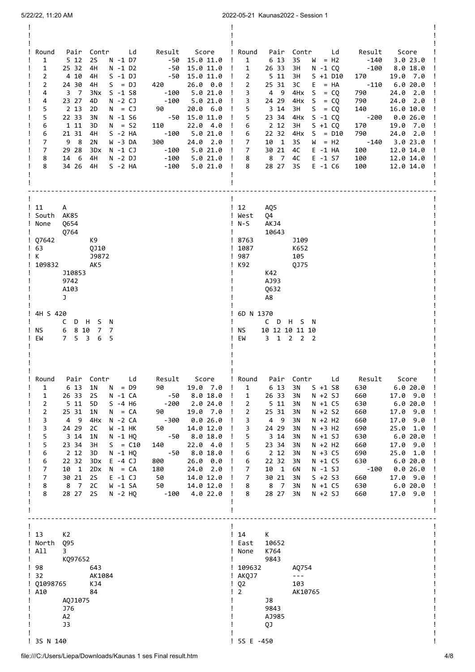| Round<br>Pair Contr Ld Result Score<br>$-50$ 15.0 11.0<br>$\mathbf{1}$<br>5 12<br>2S<br>N -1 D7<br>$\perp$<br>$\mathbf{1}$<br>25 32<br>4H<br>N -1 D2<br>$-50$<br>15.0 11.0<br>Ţ<br>$\overline{2}$<br>4 10<br>4H<br>$S - 1 DJ$<br>-50 15.0 11.0<br>$\perp$<br>420<br>$\overline{2}$<br>24 30<br>$S = DJ$<br>$26.0\quad 0.0$<br>4H<br>$\mathbf{I}$<br>4<br>3 7<br>3Nx<br>$S - 1 S8$<br>$-100$<br>5.0 21.0<br>$\mathbf{I}$<br>$-100$ 5.0 21.0<br>4<br>23 27<br>4D<br>N -2 CJ<br>$\mathbf{I}$<br>5<br>90<br>2 <sub>13</sub><br>20.0 6.0<br>2D<br>$N = CJ$<br>Ţ<br>$-50$ 15.0 11.0<br>5<br>22 33<br>3N<br>N -1 S6<br>$\mathbf{I}$<br>6<br>22.04.0<br>1 11<br>$N = S2$<br>110<br>3D<br>Ţ<br>6<br>21 31<br>$-100$ 5.0 21.0<br>4H<br>$S - 2 HA$<br>$\mathbf{I}$<br>$\overline{7}$<br>300<br>24.0 2.0<br>98<br>2N<br>W -3 DA<br>$\mathbf{I}$<br>$\overline{7}$<br>29 28<br>3Dx<br>N -1 CJ<br>$-100$ 5.0 21.0<br>$\mathbf{I}$<br>8<br>14 6<br>4H<br>N -2 DJ<br>8<br>34 26 4H<br>$S - 2 HA$                                                                            | ! Round<br>Pair Contr Ld Result Score<br>$W = H2$ $-140$ $3.0$ 23.0<br>1<br>6 13 3S<br>26 33<br>$-100$<br>$\mathbf{1}$<br>3H<br>8.0 18.0<br>N -1 CQ<br>$\overline{2}$<br>511<br>170<br>3H<br>$S + 1 D10$<br>19.0 7.0<br>$-110$<br>$\overline{2}$<br>25 31<br>3C<br>$E = HA$<br>6.0 20.0<br>3<br>4 9<br>$4Hx$ S = CQ<br>790<br>$24.0$ $2.0$<br>3<br>24 29 4Hx $S = CQ$<br>790<br>24.0 2.0<br>5<br>3 14<br>3H<br>$S = CQ$<br>140<br>16.0 10.0<br>$-200$ $0.026.0$<br>5<br>23 34 4Hx S -1 CQ<br>2 12<br>3H<br>$S + 1 CO$<br>170<br>19.0 7.0<br>6<br>22 32 4Hx S = D10<br>790<br>24.0 2.0<br>6<br>$-140$ 3.0 23.0<br>$\overline{7}$<br>10 1<br>- 3S<br>$W = H2$<br>30 21<br>100<br>12.0 14.0<br>$\overline{7}$<br>4C<br>E -1 HA<br>8 7<br>$E - 1 S7$<br>12.0 14.0<br>8<br>4C<br>100<br>100<br>28 27 3S<br>8<br>$E - 1$ C6<br>12.0 14.0      |
|-------------------------------------------------------------------------------------------------------------------------------------------------------------------------------------------------------------------------------------------------------------------------------------------------------------------------------------------------------------------------------------------------------------------------------------------------------------------------------------------------------------------------------------------------------------------------------------------------------------------------------------------------------------------------------------------------------------------------------------------------------------------------------------------------------------------------------------------------------------------------------------------------------------------------------------------------------------------------------------------------------------------------------------------------------------|-----------------------------------------------------------------------------------------------------------------------------------------------------------------------------------------------------------------------------------------------------------------------------------------------------------------------------------------------------------------------------------------------------------------------------------------------------------------------------------------------------------------------------------------------------------------------------------------------------------------------------------------------------------------------------------------------------------------------------------------------------------------------------------------------------------------------------------------|
| ! 11<br>A<br>! South AK85<br>! None<br>Q654<br>10764<br>$\frac{1}{2}$ Q7642<br>K9 I<br>$\frac{1}{63}$<br>QJ10<br>J9872<br>! K<br>! 109832 AK5<br>J10853<br>9742<br>A103<br>J.<br>! 4H S 420<br>C D H S N<br>6 8 10 7 7<br>! NS<br>7 5 3<br>6 5<br>! EW                                                                                                                                                                                                                                                                                                                                                                                                                                                                                                                                                                                                                                                                                                                                                                                                      | $\frac{1}{2}$<br>AQ5<br>! West<br>04<br>$!$ N-S<br>AKJ4<br>$\mathbf{I}$ and $\mathbf{I}$<br>10643<br>! 8763<br>J109<br>! 1087<br>K652<br>105<br>! 987<br>! K92<br>0J75<br><b>The Contract</b><br>K42<br>AJ93<br>0632<br>A8<br>! 6D N 1370<br>C D H S N<br>10 12 10 11 10<br>NS to the NS of the NS of the NS of the NS of the NS of the NS of the NS of the NS of the NS of the NS of the N<br>Ţ.<br>EW 3 1 2 2 2                                                                                                                                                                                                                                                                                                                                                                                                                       |
| Round<br>Pair<br>Contr<br>Ld<br>Result<br>Score<br>$\mathbf{1}$<br>6 13<br>1N<br>$N = D9$<br>90<br>19.0 7.0<br>$\mathbf{I}$<br>26 33<br><b>2S</b><br>-50<br>8.018.0<br>$\mathbf{1}$<br>N -1 CA<br>Ţ<br>$\overline{2}$<br>511<br>5D<br>$S - 4$ H <sub>6</sub><br>$-200$<br>2.024.0<br>Ţ<br>$\overline{2}$<br>25 31<br>1N<br>$N = CA$<br>90<br>19.0 7.0<br>Ţ<br>3<br>0.026.0<br>4<br>$^{\circ}$<br>4H <sub>x</sub><br>N -2 CA<br>-300<br>$\mathbf{I}$<br>3<br>24 29<br>2C<br>W -1 HK<br>50<br>14.0 12.0<br>5<br>3 <sub>14</sub><br>-50<br>8.018.0<br>1N<br>$N - 1$ HQ<br>5<br>23 34<br>3H<br>$S = C10$<br>140<br>22.04.0<br>Ţ<br>2 <sub>12</sub><br>$-50$<br>8.018.0<br>6<br>3D<br>$N - 1$ HQ<br>Ţ<br>6<br>22 32<br>3Dx<br>$E - 4 CJ$<br>800<br>26.0 0.0<br>$\overline{7}$<br>Ţ<br>10 1<br>2Dx<br>180<br>24.0 2.0<br>$N = CA$<br>$\overline{7}$<br>30 21<br><b>2S</b><br>$E - 1 CJ$<br>50<br>14.0 12.0<br>$\mathbf{I}$<br>8<br>8 7<br>2C<br>50<br>W -1 SA<br>14.0 12.0<br>$\mathbf{I}$<br>8<br>28 27<br><b>2S</b><br>N -2 HQ<br>$-100$<br>4.0 22.0<br>$\perp$ | ! Round<br>Pair<br>Contr<br>Ld<br>Result<br>Score<br>1<br>6 13<br>$S + 1 S8$<br>630<br>6.020.0<br>3N<br>$\mathbf{1}$<br>26 33<br>$N + 2 SJ$<br>3N<br>660<br>17.0 9.0<br>2<br>511<br>3N<br>$N + 1 C5$<br>630<br>6.0 20.0<br>2<br>$N + 2 S2$<br>25 31<br>3N<br>660<br>$17.0$ $9.0$<br>$N + 2 H2$<br>3<br>4 9<br>3N<br>660<br>17.0 9.0<br>24 29<br>$N + 3 H2$<br>3<br>3N<br>690<br>25.0 1.0<br>5<br>$N + 1 SJ$<br>3 14<br>3N<br>630<br>6.020.0<br>5<br>23 34<br>3N<br>$N + 2 H2$<br>660<br>17.0 9.0<br>2 1 2<br>$N + 3 C5$<br>6<br>3N<br>690<br>25.0 1.0<br>22 32<br>3N<br>$N + 1 C5$<br>630<br>6.0 20.0<br>6<br>$N - 1 SJ$<br>7<br>10 1<br>6N<br>$-100$<br>0.026.0<br>$\overline{7}$<br>30 21<br>$S + 2 S3$<br>17.0 9.0<br>3N<br>660<br>N +1 C5<br>8<br>8 7<br>3N<br>630<br>6.0 20.0<br>28 27<br>8<br>3N<br>$N + 2 SJ$<br>660<br>17.0 9.0 |
| !13<br>K <sub>2</sub><br>! North<br>Q95<br>! All<br>3<br>$\mathbf{I}$<br>KQ97652<br>Ţ<br>! 98<br>643<br>$\frac{1}{32}$<br>AK1084<br>! 01098765<br>KJ4<br>$!$ A10<br>84<br>AQJ1075<br>L<br><b>J76</b><br>A2<br>J3<br>! 3S N 140                                                                                                                                                                                                                                                                                                                                                                                                                                                                                                                                                                                                                                                                                                                                                                                                                              | $\frac{1}{2}$<br>K<br>! East<br>10652<br>! None<br>K764<br>9843<br>! 109632<br>A0754<br>! AKQJ7<br>$\sim$ $ \sim$<br>$\frac{1}{2}$<br>103<br>$\overline{2}$<br>AK10765<br>Ţ.<br>J8<br>9843<br>AJ985<br>QJ<br>! 5S E -450                                                                                                                                                                                                                                                                                                                                                                                                                                                                                                                                                                                                                |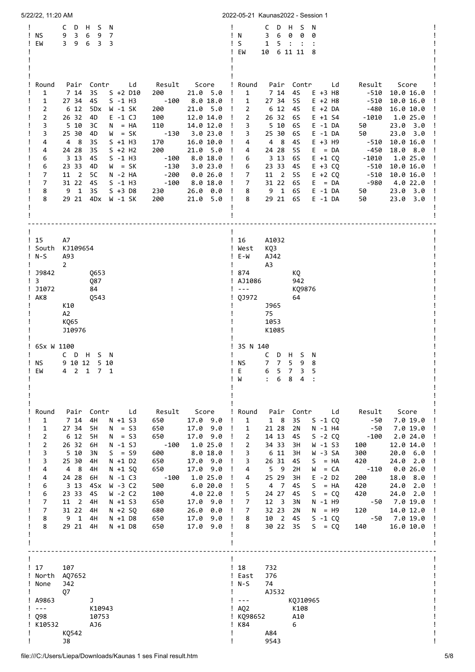| 5/22/22, 11:20 AM                                                                                                                     |                                                                                                                                                                                                                                                                                                                                                                                                                                                                                                                                                                                                                                                                                                                                                                                                                                                                                                                                                                                   | 2022-05-21 Kaunas2022 - Session 1                                                                                                                                                                                                                                                                                                                                                                                                                                                                                                                                                                                                                                                                                                                                                                                                                                                               |
|---------------------------------------------------------------------------------------------------------------------------------------|-----------------------------------------------------------------------------------------------------------------------------------------------------------------------------------------------------------------------------------------------------------------------------------------------------------------------------------------------------------------------------------------------------------------------------------------------------------------------------------------------------------------------------------------------------------------------------------------------------------------------------------------------------------------------------------------------------------------------------------------------------------------------------------------------------------------------------------------------------------------------------------------------------------------------------------------------------------------------------------|-------------------------------------------------------------------------------------------------------------------------------------------------------------------------------------------------------------------------------------------------------------------------------------------------------------------------------------------------------------------------------------------------------------------------------------------------------------------------------------------------------------------------------------------------------------------------------------------------------------------------------------------------------------------------------------------------------------------------------------------------------------------------------------------------------------------------------------------------------------------------------------------------|
| C<br>! NS<br>9<br>EM                                                                                                                  | D<br>H S<br>N<br>$\overline{3}$<br>6<br>9<br>$\overline{7}$<br>3 9 6 3<br>3<br>$\mathbf{I}$                                                                                                                                                                                                                                                                                                                                                                                                                                                                                                                                                                                                                                                                                                                                                                                                                                                                                       | D<br>S<br>N<br>C<br>H.<br>3<br>6<br>0<br>! N<br>0<br>0<br>S<br>5:<br>$\mathbf{1}$<br>6 11 11 8<br>EW<br>10                                                                                                                                                                                                                                                                                                                                                                                                                                                                                                                                                                                                                                                                                                                                                                                      |
| Round<br>1<br>1<br>2<br>2<br>3<br>3<br>4<br>4<br>6<br>6<br>7<br>$\overline{7}$<br>8<br>8                                              | Pair<br>Contr<br>Ld<br>Result<br>Score<br>7 14<br>3S<br>21.0 5.0<br>$S + 2 D10$<br>200<br>$\mathbf{I}$<br>27 34<br>$S - 1$ H3<br>$-100$<br>8.018.0<br>45<br>$\mathbf{I}$<br>6 12<br>5Dx<br>W -1 SK<br>200<br>21.0 5.0<br>$\mathbf{I}$<br>26 32<br>4D<br>$E - 1 CJ$<br>100<br>12.0 14.0<br>$\mathbf{I}$<br>5 10<br>зс<br>$N = HA$<br>110<br>14.0 12.0<br>$\mathbf{I}$<br>$-130$<br>3.023.0<br>25 30<br>4D<br>$W = SK$<br>$\mathbf{I}$<br>4 8<br>170<br>16.0 10.0<br>3S<br>$S +1 H3$<br>- !<br>200<br>24 28<br>3S<br>$S + 2$ H <sub>2</sub><br>21.0 5.0<br>$\mathbf{I}$<br>$S - 1$ H3<br>8.018.0<br>3 13<br>4S<br>$-100$<br>$\mathbf{I}$<br>23 33<br>4D<br>$W = SK$<br>$-130$<br>3.023.0<br>$\mathbf{I}$<br>$-200$<br>11 2<br>5C<br>$N - 2 HA$<br>0.026.0<br>- 1<br>31 22<br>$S - 1$ H3<br>- 4S<br>$-100$<br>8.0 18.0<br>$\mathbf{I}$<br>9 <sub>1</sub><br>3S<br>$S + 3$ D8<br>$26.0\quad 0.0$<br>230<br>$\mathbf{I}$<br>29 21<br>200<br>4Dx<br>21.0 5.0<br>W -1 SK<br>$\mathbf{I}$ | ! Round<br>Pair Contr<br>Result<br>Score<br>Ld<br>$\mathbf{1}$<br>7 14 4S<br>$E + 3$ H8<br>$-510$<br>10.0 16.0<br>$\mathbf{1}$<br>27 34 5S<br>$E + 2$ H8<br>$-510$<br>10.0 16.0<br>6 12 4S<br>$E + 2 DA$<br>-480<br>16.0 10.0<br>$\mathbf{2}$<br>26 32<br>$E + 1 S4$<br>$\overline{2}$<br>6S<br>$-1010$<br>1.0 25.0<br>3<br>5 10 6S<br>23.0<br>$E - 1 DA$<br>50<br>3.0<br>$E - 1 DA$<br>50<br>23.0 3.0<br>3<br>25 30<br>6S<br>$E + 3$ H9<br>4 8<br>4S<br>$-510$<br>10.0 16.0<br>4<br>E<br>$-450$<br>18.0 8.0<br>24 28<br>-5S<br>$= DA$<br>4<br>3 13 6S<br>$E + 1 CQ$<br>1.0 25.0<br>6<br>$-1010$<br>23 33<br>4S<br>$E + 3 CQ$<br>$-510$<br>10.0 16.0<br>6<br>7<br>11 2<br><b>5S</b><br>$E + 2 CQ$<br>$-510$<br>10.0 16.0<br>$\overline{7}$<br>31 22 6S<br>-980<br>$E = DA$<br>4.0 22.0<br>9 1<br>6S<br>$E - 1 DA$<br>23.0 3.0<br>8<br>50<br>29 21<br>6S<br>$E - 1 DA$<br>8<br>50<br>23.0<br>3.0 |
| !15<br>A7<br>! South KJ109654<br>$!$ N-S<br>A93<br>$\overline{2}$<br>! J9842<br>! 3<br>! 11072<br>! AK8<br>K10<br>A <sub>2</sub>      | Ţ<br>Q653<br>Q87<br>84<br>Q543<br>K065<br>J10976                                                                                                                                                                                                                                                                                                                                                                                                                                                                                                                                                                                                                                                                                                                                                                                                                                                                                                                                  | !16<br>A1032<br>KQ3<br>! West<br>$! E-W$<br>AJ42<br>A3<br>! 874<br>KQ<br>! AJ1086<br>942<br>$\sim$ $\sim$ $\sim$<br>KQ9876<br>QJ972<br>64<br><b>J965</b><br>75<br>1053<br>K1085                                                                                                                                                                                                                                                                                                                                                                                                                                                                                                                                                                                                                                                                                                                 |
| ! 6Sx W 1100<br>! NS<br>EM<br>4                                                                                                       | CDHSN<br>9 10 12 5 10<br>Ţ<br>2 1 7 1                                                                                                                                                                                                                                                                                                                                                                                                                                                                                                                                                                                                                                                                                                                                                                                                                                                                                                                                             | 3S N 140<br>C<br>D H S N<br><b>NS</b><br>7 <sub>7</sub><br>5 <sub>1</sub><br>98<br>3<br>5<br>$7\overline{ }$<br>6<br>F,<br>ь<br>6 8 4<br>W                                                                                                                                                                                                                                                                                                                                                                                                                                                                                                                                                                                                                                                                                                                                                      |
| Round<br>1<br>1<br>$\overline{2}$<br>2<br>3<br>3<br>4<br>4<br>6<br>6<br>$\overline{7}$<br>7<br>8<br>8                                 | Pair<br>Contr Ld<br>Result<br>Score<br>7 14<br>4H<br>$N + 1$ S3<br>650<br>17.09.0<br>27 34<br>$N = S3$<br>650<br>5H<br>$17.0$ $9.0$<br>$\perp$<br>6 12<br>$N = S3$<br>17.0 9.0<br>5H<br>650<br>$\mathbf{I}$<br>26 32<br>$-100$<br>1.0 25.0<br>$N - 1 SJ$<br>6H<br>$\cdot$<br>8.018.0<br>5 10<br>$S = S9$<br>600<br>3N<br>$N + 1$ D2<br>650<br>17.0 9.0<br>25 30<br>4H<br>$\mathbf{I}$<br>650<br>17.0 9.0<br>4 8<br>4H<br>$N + 1$ SQ<br>-1<br>24 28<br>N -1 C3<br>1.0 25.0<br>6H<br>-100<br>3 1 3<br>W -3 C2<br>6.020.0<br>4Sx<br>500<br>23 33<br>W -2 C2<br>4.0 22.0<br>4S<br>100<br>-1<br>11 <sup>2</sup><br>17.0 9.0<br>4H<br>$N + 1 S3$<br>650<br>-1<br>31 22<br>680<br>4H<br>$N + 2 SQ$<br>26.0 0.0<br>-1<br>$\mathbf{1}$<br>4H<br>N +1 D8<br>650<br>17.0 9.0<br>9<br>-1<br>29 21<br>17.0 9.0<br>4H<br>$N + 1$ D8<br>650<br>$\mathbf{I}$                                                                                                                                      | ! Round<br>Pair Contr<br>Result<br>Score<br>Ld<br>$1 \quad 8$<br>1<br>3S<br>$S - 1 CO$<br>-50<br>7.0 19.0<br>21 28<br>2N<br>N -1 H4<br>1<br>- 50<br>7.0 19.0<br>2<br>14 13<br>$S - 2 CQ$<br>$-100$<br>4S<br>2.024.0<br>$\overline{2}$<br>34 33<br>3H<br>$W - 1 S3$<br>100<br>12.0 14.0<br>6 11<br>3H<br>W -3 SA<br>3<br>300<br>20.0 6.0<br>3<br>26 31<br>45<br>$= HA$<br>420<br>2.0<br>S<br>24.0<br>5 <sub>9</sub><br>2H<br>0.0 26.0<br>4<br>W<br>$= CA$<br>$-110$<br>25 29<br>3H<br>$E - 2 D2$<br>18.0<br>200<br>8.0<br>4<br>5<br>4 7<br>45<br>S<br>$= HA$<br>420<br>24.0 2.0<br>5<br>24 27<br>$= CQ$<br>45<br>S.<br>420<br>24.0 2.0<br>$\overline{7}$<br>12 <sup>3</sup><br>3N<br>N -1 H9<br>-50<br>7.0 19.0<br>32 23<br>120<br>14.0 12.0<br>7<br>2N<br>N<br>$=$ H9<br>$\overline{2}$<br>8<br>10<br>4S<br>$S - 1 CQ$<br>$-50$<br>7.0 19.0<br>30 22<br>35<br>$S = CQ$<br>16.0 10.0<br>8<br>140 |
| $\frac{1}{2}$<br>107<br>! North AQ7652<br>! None<br>Q7<br>$!$ A9863<br>$\perp$ $\perp$ $\perp$<br>$\frac{1}{2}$ Q98<br>! K10532<br>J8 | <b>J42</b><br>J<br>K10943<br>10753<br>AJ6<br>KQ542                                                                                                                                                                                                                                                                                                                                                                                                                                                                                                                                                                                                                                                                                                                                                                                                                                                                                                                                | $\frac{1}{2}$<br>732<br>! East<br><b>J76</b><br>$!$ N-S<br>74<br>AJ532<br>$\sim$ $\sim$ $\sim$<br>KQJ10965<br>$I$ AQ2<br>K108<br>A10<br>! KQ98652<br>! K84<br>6<br>A84<br>9543                                                                                                                                                                                                                                                                                                                                                                                                                                                                                                                                                                                                                                                                                                                  |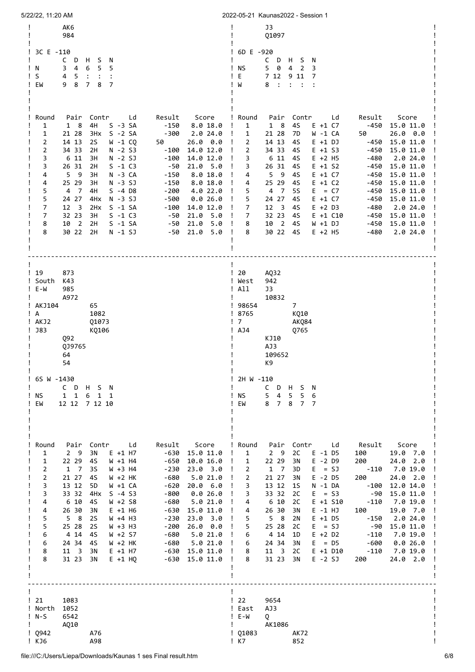| 5/22/22, 11:20 AM                                                                                                                                                                                                                                                                                                                                                                                                                                                                                                                                                                  |                                                                                                                                                                                                                                                                                                                                                                                                                                                                                                                  |                                                                                                                    | 2022-05-21 Kaunas2022 - Session 1                                                                                                                                                                                                                                                                                                                                                                                                                                                                                                                                                                                                                                                                                                                                                                                                                 |
|------------------------------------------------------------------------------------------------------------------------------------------------------------------------------------------------------------------------------------------------------------------------------------------------------------------------------------------------------------------------------------------------------------------------------------------------------------------------------------------------------------------------------------------------------------------------------------|------------------------------------------------------------------------------------------------------------------------------------------------------------------------------------------------------------------------------------------------------------------------------------------------------------------------------------------------------------------------------------------------------------------------------------------------------------------------------------------------------------------|--------------------------------------------------------------------------------------------------------------------|---------------------------------------------------------------------------------------------------------------------------------------------------------------------------------------------------------------------------------------------------------------------------------------------------------------------------------------------------------------------------------------------------------------------------------------------------------------------------------------------------------------------------------------------------------------------------------------------------------------------------------------------------------------------------------------------------------------------------------------------------------------------------------------------------------------------------------------------------|
| AK6<br>984                                                                                                                                                                                                                                                                                                                                                                                                                                                                                                                                                                         |                                                                                                                                                                                                                                                                                                                                                                                                                                                                                                                  |                                                                                                                    | J3<br>Q1097                                                                                                                                                                                                                                                                                                                                                                                                                                                                                                                                                                                                                                                                                                                                                                                                                                       |
| ! 3C E -110<br>$\mathsf{C}$<br>D<br>S.<br>H.<br>N<br>3<br>4<br>5<br>6<br>5<br>!N<br>! S<br>4<br>5<br>$\ddot{\cdot}$<br>$\ddot{\cdot}$<br>8<br>$7^{\circ}$<br>8<br>$\overline{7}$<br>! EW<br>9                                                                                                                                                                                                                                                                                                                                                                                      |                                                                                                                                                                                                                                                                                                                                                                                                                                                                                                                  | ! 6D E -920<br><b>NS</b><br>E<br>W                                                                                 | CDHSN<br>5 0<br>4<br>$\overline{2}$<br>3<br>7 12<br>9 1 1<br>7<br>$\mathbb{R}^2$<br>8<br>$\ddot{\cdot}$<br>$\ddot{\cdot}$                                                                                                                                                                                                                                                                                                                                                                                                                                                                                                                                                                                                                                                                                                                         |
| Contr<br>Round<br>Pair<br>Ld<br>4H<br>1<br>$1 \quad 8$<br>$S - 3 SA$<br>1<br>21 28<br>3Hx<br>$S - 2 SA$<br>2<br>14 13<br>2S<br>W -1 CQ<br>2<br>34 33<br>2H<br>$N - 2 S3$<br>3<br>6 11<br>3H<br>$N - 2 SJ$<br>3<br>$S - 1 C3$<br>26 31<br>2H<br>5 <sub>9</sub><br>N -3 CA<br>4<br>3H<br>$N - 3 SJ$<br>25 29<br>3H<br>4<br>5<br>$S - 4$ D8<br>4 7<br>4H<br>5<br>24 27<br>$N - 3 SJ$<br>4H <sub>x</sub><br>7<br>12 <sup>3</sup><br>2H <sub>x</sub><br>$S - 1 SA$<br>7<br>32 23<br>3H<br>$S - 1 C3$<br>$\overline{2}$<br>$S - 1 SA$<br>8<br>10<br>2H<br>30 22<br>8<br>2H<br>$N - 1 SJ$ | Result<br>Score<br>$-150$<br>8.018.0<br>Ţ<br>$-300$<br>2.024.0<br>$\mathbf{I}$<br>50<br>$26.0\quad 0.0$<br>$\mathbf{I}$<br>$-100$<br>14.0 12.0<br>Ţ<br>$-100$<br>14.0 12.0<br>Ţ<br>21.0 5.0<br>-50<br>$\mathbf{I}$<br>8.018.0<br>$-150$<br>$\mathbf{I}$<br>$-150$<br>8.018.0<br>Ţ<br>$-200$<br>4.0 22.0<br>$\mathbf{I}$<br>-500<br>0.026.0<br>$\mathbf{I}$<br>$-100$<br>14.0 12.0<br>Ţ<br>-50<br>21.0 5.0<br>$\mathbf{I}$<br>5.0<br>21.0<br>-50<br>$\perp$<br>-50<br>$21.0$ 5.0<br>Ţ                             | ! Round<br>1<br>$\mathbf{1}$<br>$\overline{2}$<br>2<br>3<br>3<br>4<br>4<br>5<br>5<br>7<br>7<br>8<br>8              | Contr<br>Ld<br>Result<br>Score<br>Pair<br>1 8<br>4S<br>$E + 1 C7$<br>-450<br>15.0 11.0<br>21 28<br>7D<br>W -1 CA<br>50<br>$26.0\quad 0.0$<br>14 13<br>45<br>$E + 1$ $DJ$<br>$-450$<br>15.0 11.0<br>$-450$<br>34 33<br>45<br>$E + 1 S3$<br>15.0 11.0<br>6 11<br>45<br>$E + 2$ H5<br>$-480$<br>2.024.0<br>26 31<br>$E + 1 S2$<br>4S<br>$-450$<br>15.0 11.0<br>59<br>$E + 1 C7$<br>4S<br>-450<br>15.0 11.0<br>25 29<br>$E + 1 C2$<br>4S<br>$-450$<br>15.0 11.0<br>$\overline{7}$<br><b>5S</b><br>4<br>E.<br>$= C7$<br>$-450$<br>15.0 11.0<br>24 27<br>45<br>$E + 1 C7$<br>$-450$<br>15.0 11.0<br>12 <sup>3</sup><br>4S<br>$E + 2 D3$<br>$-480$<br>2.024.0<br>32 23<br>$E + 1 C10$<br>45<br>$-450$<br>15.0 11.0<br>$\overline{\phantom{2}}$<br>10<br><b>4S</b><br>$W + 1 DJ$<br>$-450$<br>15.0 11.0<br>30 22<br>4S<br>$E + 2$ H5<br>$-480$<br>2.024.0 |
| ! 19<br>873<br>! South<br>K43<br>! E-W<br>985<br>A972<br>! AKJ104<br>65<br>1082<br>! A<br>! AKJ2<br>01073<br>$!$ J83<br>KQ106<br>Q92<br>QJ9765<br>64<br>54                                                                                                                                                                                                                                                                                                                                                                                                                         |                                                                                                                                                                                                                                                                                                                                                                                                                                                                                                                  | !20<br>! West<br>! All<br>! 98654<br>! 8765<br>! 7<br>! AJ4                                                        | AQ32<br>942<br>J3<br>10832<br>$\overline{7}$<br>KQ10<br>AKQ84<br>Q765<br>KJ10<br>AJ3<br>109652<br>K9                                                                                                                                                                                                                                                                                                                                                                                                                                                                                                                                                                                                                                                                                                                                              |
| ! 6S W -1430<br>C D H S N<br>$1\quad1$<br>ΝS<br>6 1 1<br>EW<br>12 12 7 12 10                                                                                                                                                                                                                                                                                                                                                                                                                                                                                                       |                                                                                                                                                                                                                                                                                                                                                                                                                                                                                                                  | 2H W -110<br><b>NS</b><br>EW                                                                                       | C<br>DHSN<br>5<br>4<br>5<br>$5 -$<br>6<br>8 7 8<br>7 <sub>7</sub>                                                                                                                                                                                                                                                                                                                                                                                                                                                                                                                                                                                                                                                                                                                                                                                 |
| Pair Contr Ld<br>Round<br>2 <sub>9</sub><br>3N<br>$E + 1$ H7<br>$\mathbf{1}$<br>22 29<br>W +1 H4<br>1<br>45<br>$\mathbf{2}$<br>$1 \quad 7$<br>3S<br>$W + 3$ H4<br>21 27<br>2<br>$W + 2 HK$<br>45<br>3<br>13 12<br>W +1 CA<br>5D<br>33 32<br>$S - 4 S3$<br>3<br>4H <sub>x</sub><br>4<br>6 10<br>45<br>$W + 2 S8$<br>4<br>26 30<br>3N<br>$E + 1$ H6<br>5<br>5 <sub>8</sub><br>W +4 H3<br>2S<br>5<br>W +3 H3<br>25 28<br>2S<br>W +2 S7<br>6<br>4 14<br>4S<br>$W + 2 HK$<br>24 34<br>45<br>6<br>8<br>$11 \quad 3$<br>3N<br>$E + 1$ H7<br>8<br>31 23<br>3N<br>$E + 1$ HQ                | Result<br>Score<br>-630<br>15.0 11.0<br>Ţ<br>$-650$<br>10.0 16.0<br>Ţ<br>$-230$<br>$23.0$ $3.0$<br>$\mathbf{I}$<br>5.021.0<br>$-680$<br>$\mathbf{I}$<br>20.0 6.0<br>$-620$<br>$\mathbf{I}$<br>-800<br>0.026.0<br>Ţ<br>$-680$<br>5.021.0<br>$\mathbf{I}$<br>$-630$<br>15.0 11.0<br>$\perp$<br>$-230$<br>$23.0$ $3.0$<br>$\mathbf{I}$<br>$-200$<br>26.0 0.0<br>$\mathbf{I}$<br>5.0 21.0<br>-680<br>$\mathbf{I}$<br>5.0 21.0<br>-680<br>$\mathbf{I}$<br>-630<br>15.0 11.0<br>Ţ<br>-630<br>15.0 11.0<br>$\mathbf{I}$ | ! Round<br>$\mathbf{1}$<br>1<br>$\overline{2}$<br>$\overline{2}$<br>3<br>3<br>4<br>4<br>5<br>5<br>6<br>6<br>8<br>8 | Pair Contr<br>Result<br>Ld<br>Score<br>$2 \quad 9$<br>2C<br>$E - 1$ D5<br>100<br>19.0 7.0<br>22 29<br>$E - 2$ D9<br>3N<br>200<br>24.0 2.0<br>$-110$<br>$1 \quad 7$<br>3D<br>$E = SJ$<br>7.0 19.0<br>21 27<br>$E - 2$ D5<br>200<br>24.0 2.0<br>3N<br>13 12<br>$N - 1 DA$<br>1S<br>$-100$<br>12.0 14.0<br>33 32<br>2C<br>$E = S3$<br>-90<br>15.0 11.0<br>6 10<br>2C<br>$-110$<br>7.0 19.0<br>$E + 1 S10$<br>19.0 7.0<br>26 30<br>3N<br>$E - 1 HJ$<br>100<br>5 <sub>8</sub><br>$E + 1$ D5<br>2N<br>$-150$<br>2.024.0<br>25 28<br>2C<br>$E = SJ$<br>-90<br>15.0 11.0<br>4 14<br>$E + 2 D2$<br>1D<br>$-110$<br>7.0 19.0<br>$E = D5$<br>24 34<br>3N<br>-600<br>0.026.0<br>$11 \quad 3$<br>2C<br>$E + 1$ D10<br>-110<br>7.0 19.0<br>31 23<br>3N<br>$E - 2 SJ$<br>200<br>24.0 2.0                                                                         |
| $\frac{1}{21}$<br>1083<br>! North<br>1052<br>$!$ N-S<br>6542<br>AQ10<br>$\mathbf{I}$<br>! Q942<br>A76<br>A98<br>! KJ6                                                                                                                                                                                                                                                                                                                                                                                                                                                              |                                                                                                                                                                                                                                                                                                                                                                                                                                                                                                                  | $\frac{1}{22}$<br>! East<br>$! \quad E-W$<br>$\mathbf{I}$<br>$!$ Q1083<br>$\frac{1}{2}$ K7                         | 9654<br>AJ3<br>Q<br>AK1086<br>AK72<br>852                                                                                                                                                                                                                                                                                                                                                                                                                                                                                                                                                                                                                                                                                                                                                                                                         |